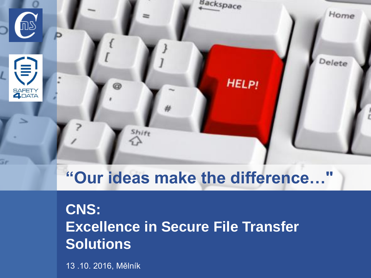

# **"Our ideas make the difference…"**

## **CNS: Excellence in Secure File Transfer Solutions**

13 .10. 2016, Mělník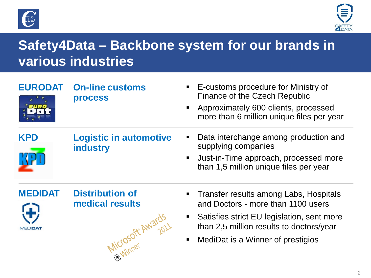



## **Safety4Data – Backbone system for our brands in various industries**

| <b>EURODAT</b>            | <b>On-line customs</b><br><b>process</b>                       | E-customs procedure for Ministry of<br>Finance of the Czech Republic<br>Approximately 600 clients, processed<br>more than 6 million unique files per year                                                   |
|---------------------------|----------------------------------------------------------------|-------------------------------------------------------------------------------------------------------------------------------------------------------------------------------------------------------------|
| <b>KPD</b>                | <b>Logistic in automotive</b><br><b>industry</b>               | Data interchange among production and<br>supplying companies<br>Just-in-Time approach, processed more<br>than 1,5 million unique files per year                                                             |
| <b>MEDIDAT</b><br>MEDIDAT | <b>Distribution of</b><br>medical results<br>Microsofte Awaro. | Transfer results among Labs, Hospitals<br>and Doctors - more than 1100 users<br>Satisfies strict EU legislation, sent more<br>than 2,5 million results to doctors/year<br>MediDat is a Winner of prestigios |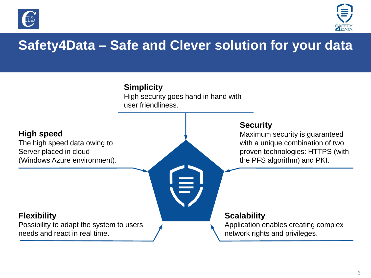



## **Safety4Data – Safe and Clever solution for your data**

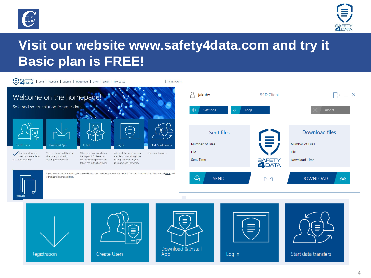



#### **Visit our website www.safety4data.com and try it Basic plan is FREE!**

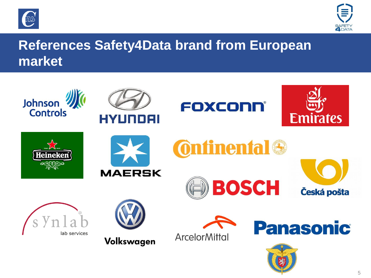



#### **References Safety4Data brand from European market**